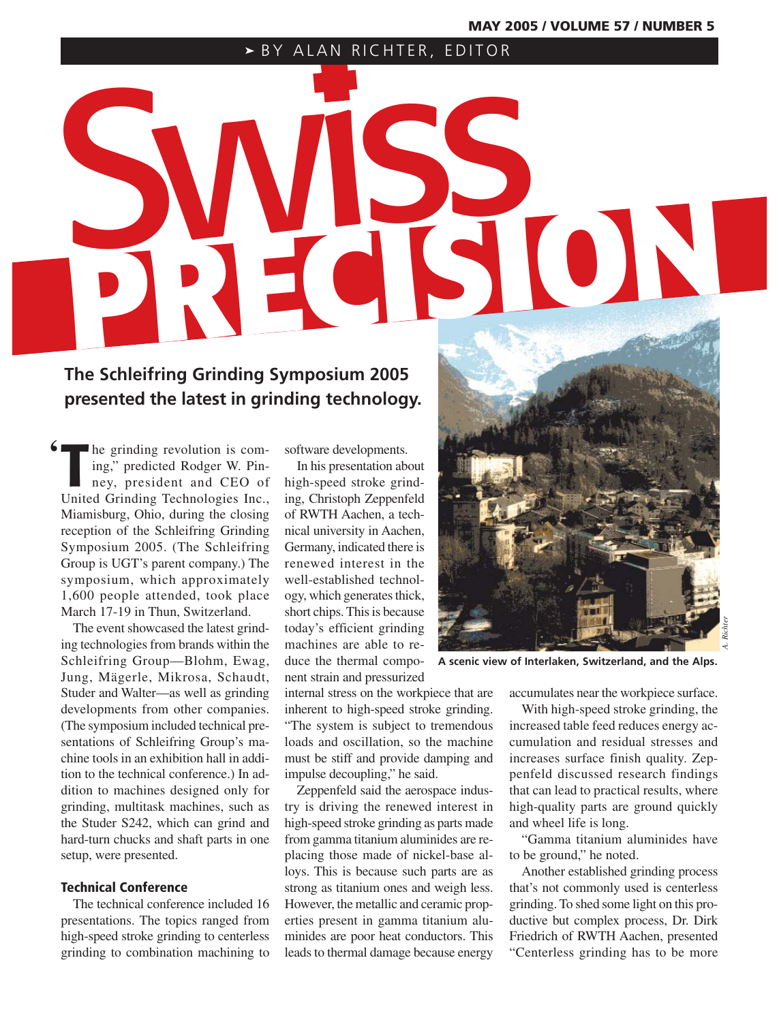# **PRECISION** SBY ALAN RICHTER, EDITOR

# **The Schleifring Grinding Symposium 2005 presented the latest in grinding technology.**

Integrinding revolution is coming," predicted Rodger W. Pinney, president and CEO of United Grinding Technologies Inc., he grinding revolution is coming," predicted Rodger W. Pinney, president and CEO of Miamisburg, Ohio, during the closing reception of the Schleifring Grinding Symposium 2005. (The Schleifring Group is UGT's parent company.) The symposium, which approximately 1,600 people attended, took place March 17-19 in Thun, Switzerland. **'**

The event showcased the latest grinding technologies from brands within the Schleifring Group—Blohm, Ewag, Jung, Mägerle, Mikrosa, Schaudt, Studer and Walter—as well as grinding developments from other companies. (The symposium included technical presentations of Schleifring Group's machine tools in an exhibition hall in addition to the technical conference.) In addition to machines designed only for grinding, multitask machines, such as the Studer S242, which can grind and hard-turn chucks and shaft parts in one setup, were presented.

# **Technical Conference**

The technical conference included 16 presentations. The topics ranged from high-speed stroke grinding to centerless grinding to combination machining to

software developments.

In his presentation about high-speed stroke grinding, Christoph Zeppenfeld of RWTH Aachen, a technical university in Aachen, Germany, indicated there is renewed interest in the well-established technology, which generates thick, short chips. This is because today's efficient grinding machines are able to reduce the thermal component strain and pressurized

internal stress on the workpiece that are inherent to high-speed stroke grinding. "The system is subject to tremendous loads and oscillation, so the machine must be stiff and provide damping and impulse decoupling," he said.

Zeppenfeld said the aerospace industry is driving the renewed interest in high-speed stroke grinding as parts made from gamma titanium aluminides are replacing those made of nickel-base alloys. This is because such parts are as strong as titanium ones and weigh less. However, the metallic and ceramic properties present in gamma titanium aluminides are poor heat conductors. This leads to thermal damage because energy



**A scenic view of Interlaken, Switzerland, and the Alps.**

accumulates near the workpiece surface.

With high-speed stroke grinding, the increased table feed reduces energy accumulation and residual stresses and increases surface finish quality. Zeppenfeld discussed research findings that can lead to practical results, where high-quality parts are ground quickly and wheel life is long.

"Gamma titanium aluminides have to be ground," he noted.

Another established grinding process that's not commonly used is centerless grinding. To shed some light on this productive but complex process, Dr. Dirk Friedrich of RWTH Aachen, presented "Centerless grinding has to be more